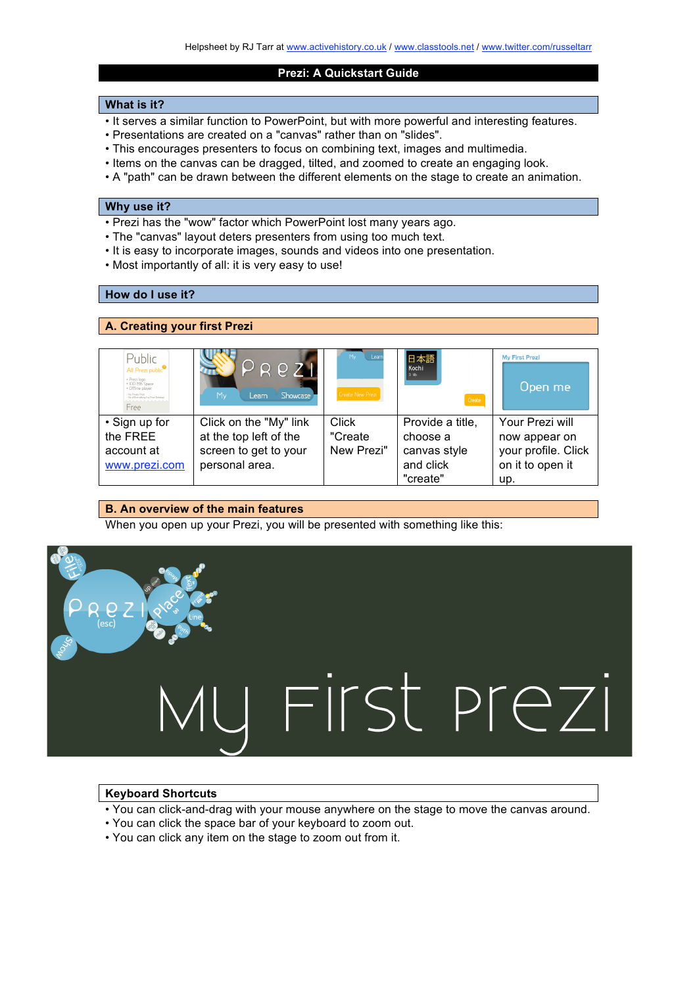#### **Prezi: A Quickstart Guide**

#### **What is it?**

- It serves a similar function to PowerPoint, but with more powerful and interesting features.
- Presentations are created on a "canvas" rather than on "slides".
- This encourages presenters to focus on combining text, images and multimedia.
- Items on the canvas can be dragged, tilted, and zoomed to create an engaging look.
- A "path" can be drawn between the different elements on the stage to create an animation.

#### **Why use it?**

- Prezi has the "wow" factor which PowerPoint lost many years ago.
- The "canvas" layout deters presenters from using too much text.
- It is easy to incorporate images, sounds and videos into one presentation.
- Most importantly of all: it is very easy to use!

## **How do I use it?**

## **A. Creating your first Prezi**

| Public<br>All Prezi public <sup>®</sup><br>+ Prezi logo<br>+ IOO MB Space<br>+ Offline player<br>Mr. Doughs Dore<br>- No offline editing the Preal Dekstop)<br><b>AAAAAAAAAA</b><br>Free | $P$ ReZI<br>Showcase<br>My<br>Learn                                                         | Mv<br>Learn<br><b>Create New Prezi</b> | 日本語<br>Kochi<br>3 Mh<br>Create                            | <b>Mv First Prezi</b><br>Open me                                            |
|------------------------------------------------------------------------------------------------------------------------------------------------------------------------------------------|---------------------------------------------------------------------------------------------|----------------------------------------|-----------------------------------------------------------|-----------------------------------------------------------------------------|
| • Sign up for<br>the FREE<br>account at<br>www.prezi.com                                                                                                                                 | Click on the "My" link<br>at the top left of the<br>screen to get to your<br>personal area. | Click<br>"Create<br>New Prezi"         | Provide a title,<br>choose a<br>canvas style<br>and click | Your Prezi will<br>now appear on<br>your profile. Click<br>on it to open it |
|                                                                                                                                                                                          |                                                                                             |                                        | "create"                                                  | up.                                                                         |

### **B. An overview of the main features**

When you open up your Prezi, you will be presented with something like this:



## **Keyboard Shortcuts**

- You can click-and-drag with your mouse anywhere on the stage to move the canvas around.
- You can click the space bar of your keyboard to zoom out.
- You can click any item on the stage to zoom out from it.